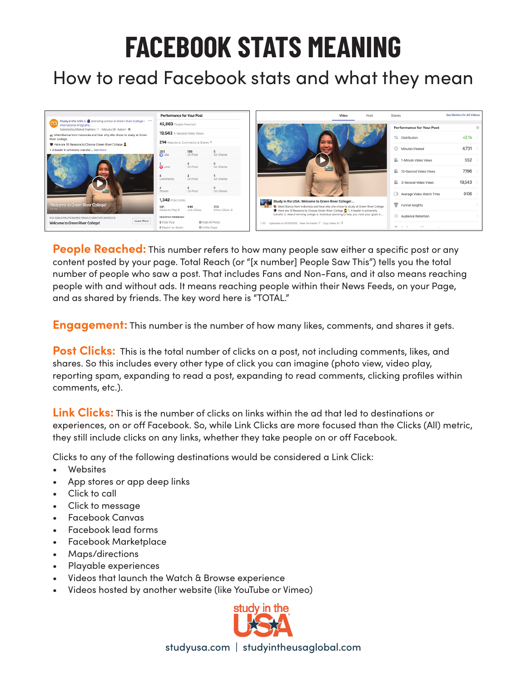## **FACEBOOK STATS MEANING**

## How to read Facebook stats and what they mean



**People Reached:** This number refers to how many people saw either a specific post or any content posted by your page. Total Reach (or "[x number] People Saw This") tells you the total number of people who saw a post. That includes Fans and Non-Fans, and it also means reaching people with and without ads. It means reaching people within their News Feeds, on your Page, and as shared by friends. The key word here is "TOTAL."

**Engagement:** This number is the number of how many likes, comments, and shares it gets.

**Post Clicks:** This is the total number of clicks on a post, not including comments, likes, and shares. So this includes every other type of click you can imagine (photo view, video play, reporting spam, expanding to read a post, expanding to read comments, clicking profiles within comments, etc.).

**Link Clicks:** This is the number of clicks on links within the ad that led to destinations or experiences, on or off Facebook. So, while Link Clicks are more focused than the Clicks (All) metric, they still include clicks on any links, whether they take people on or off Facebook.

Clicks to any of the following destinations would be considered a Link Click:

- Websites
- App stores or app deep links
- Click to call
- Click to message
- Facebook Canvas
- Facebook lead forms
- Facebook Marketplace
- Maps/directions
- Playable experiences
- Videos that launch the Watch & Browse experience
- Videos hosted by another website (like YouTube or Vimeo)



studyusa.com | studyintheusaglobal.com